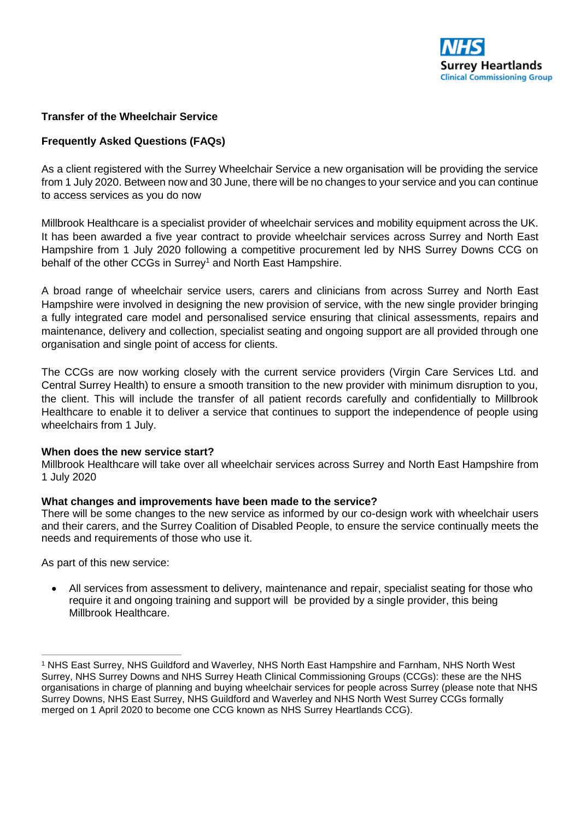

## **Transfer of the Wheelchair Service**

## **Frequently Asked Questions (FAQs)**

As a client registered with the Surrey Wheelchair Service a new organisation will be providing the service from 1 July 2020. Between now and 30 June, there will be no changes to your service and you can continue to access services as you do now

Millbrook Healthcare is a specialist provider of wheelchair services and mobility equipment across the UK. It has been awarded a five year contract to provide wheelchair services across Surrey and North East Hampshire from 1 July 2020 following a competitive procurement led by NHS Surrey Downs CCG on behalf of the other CCGs in Surrey<sup>1</sup> and North East Hampshire.

A broad range of wheelchair service users, carers and clinicians from across Surrey and North East Hampshire were involved in designing the new provision of service, with the new single provider bringing a fully integrated care model and personalised service ensuring that clinical assessments, repairs and maintenance, delivery and collection, specialist seating and ongoing support are all provided through one organisation and single point of access for clients.

The CCGs are now working closely with the current service providers (Virgin Care Services Ltd. and Central Surrey Health) to ensure a smooth transition to the new provider with minimum disruption to you, the client. This will include the transfer of all patient records carefully and confidentially to Millbrook Healthcare to enable it to deliver a service that continues to support the independence of people using wheelchairs from 1 July.

## **When does the new service start?**

Millbrook Healthcare will take over all wheelchair services across Surrey and North East Hampshire from 1 July 2020

## **What changes and improvements have been made to the service?**

There will be some changes to the new service as informed by our co-design work with wheelchair users and their carers, and the Surrey Coalition of Disabled People, to ensure the service continually meets the needs and requirements of those who use it.

As part of this new service:

 $\overline{a}$ 

 All services from assessment to delivery, maintenance and repair, specialist seating for those who require it and ongoing training and support will be provided by a single provider, this being Millbrook Healthcare.

<sup>1</sup> NHS East Surrey, NHS Guildford and Waverley, NHS North East Hampshire and Farnham, NHS North West Surrey, NHS Surrey Downs and NHS Surrey Heath Clinical Commissioning Groups (CCGs): these are the NHS organisations in charge of planning and buying wheelchair services for people across Surrey (please note that NHS Surrey Downs, NHS East Surrey, NHS Guildford and Waverley and NHS North West Surrey CCGs formally merged on 1 April 2020 to become one CCG known as NHS Surrey Heartlands CCG).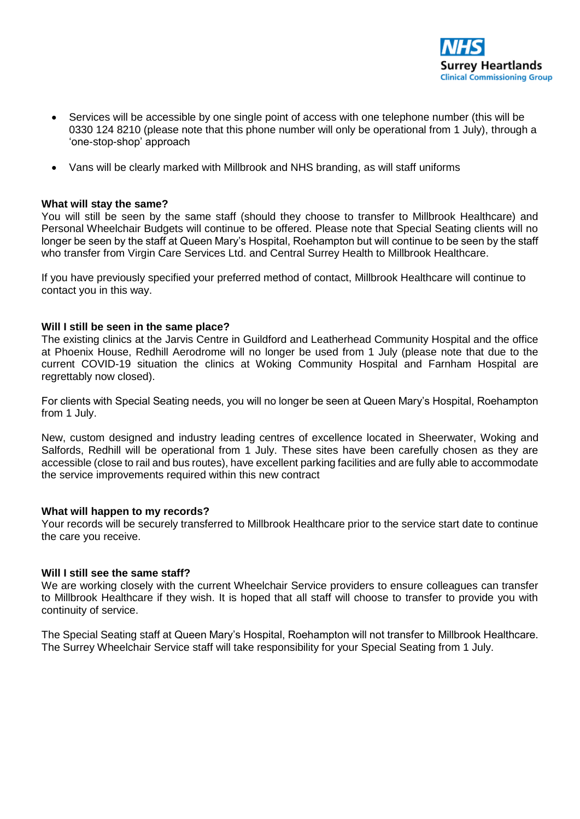

- Services will be accessible by one single point of access with one telephone number (this will be 0330 124 8210 (please note that this phone number will only be operational from 1 July), through a 'one-stop-shop' approach
- Vans will be clearly marked with Millbrook and NHS branding, as will staff uniforms

## **What will stay the same?**

You will still be seen by the same staff (should they choose to transfer to Millbrook Healthcare) and Personal Wheelchair Budgets will continue to be offered. Please note that Special Seating clients will no longer be seen by the staff at Queen Mary's Hospital, Roehampton but will continue to be seen by the staff who transfer from Virgin Care Services Ltd. and Central Surrey Health to Millbrook Healthcare.

If you have previously specified your preferred method of contact, Millbrook Healthcare will continue to contact you in this way.

## **Will I still be seen in the same place?**

The existing clinics at the Jarvis Centre in Guildford and Leatherhead Community Hospital and the office at Phoenix House, Redhill Aerodrome will no longer be used from 1 July (please note that due to the current COVID-19 situation the clinics at Woking Community Hospital and Farnham Hospital are regrettably now closed).

For clients with Special Seating needs, you will no longer be seen at Queen Mary's Hospital, Roehampton from 1 July.

New, custom designed and industry leading centres of excellence located in Sheerwater, Woking and Salfords, Redhill will be operational from 1 July. These sites have been carefully chosen as they are accessible (close to rail and bus routes), have excellent parking facilities and are fully able to accommodate the service improvements required within this new contract

## **What will happen to my records?**

Your records will be securely transferred to Millbrook Healthcare prior to the service start date to continue the care you receive.

## **Will I still see the same staff?**

We are working closely with the current Wheelchair Service providers to ensure colleagues can transfer to Millbrook Healthcare if they wish. It is hoped that all staff will choose to transfer to provide you with continuity of service.

The Special Seating staff at Queen Mary's Hospital, Roehampton will not transfer to Millbrook Healthcare. The Surrey Wheelchair Service staff will take responsibility for your Special Seating from 1 July.